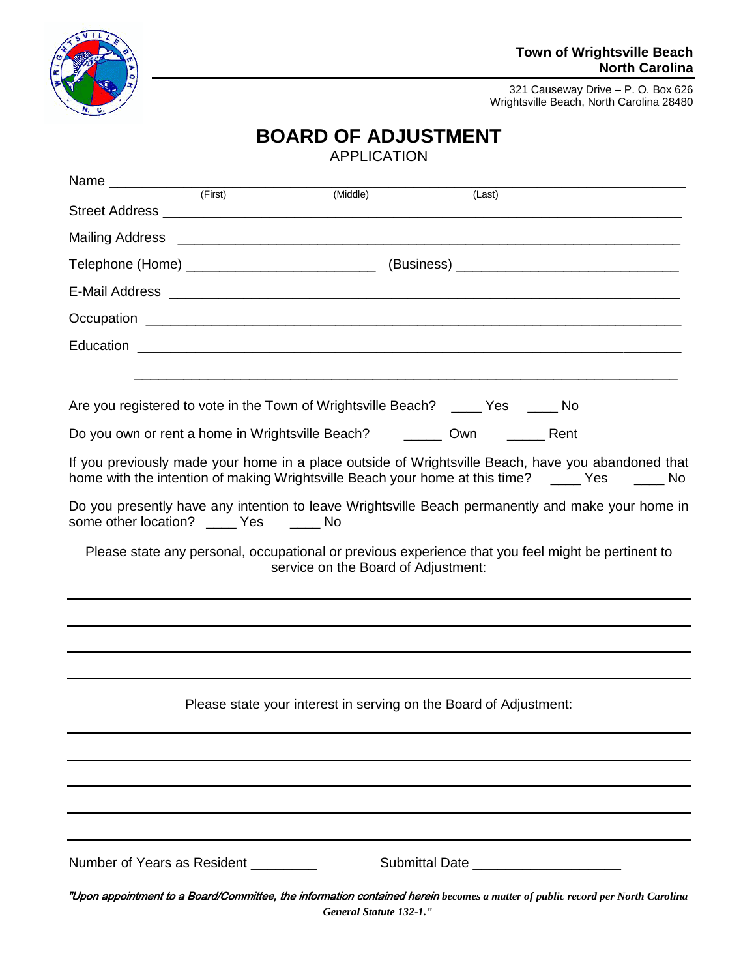

#### **Town of Wrightsville Beach North Carolina**

321 Causeway Drive – P. O. Box 626 Wrightsville Beach, North Carolina 28480

# **BOARD OF ADJUSTMENT**

|                                                                                                                                                                                                       |                                                                   | (Middle)                            | (Last) |  |
|-------------------------------------------------------------------------------------------------------------------------------------------------------------------------------------------------------|-------------------------------------------------------------------|-------------------------------------|--------|--|
|                                                                                                                                                                                                       |                                                                   |                                     |        |  |
|                                                                                                                                                                                                       |                                                                   |                                     |        |  |
|                                                                                                                                                                                                       |                                                                   |                                     |        |  |
|                                                                                                                                                                                                       |                                                                   |                                     |        |  |
|                                                                                                                                                                                                       |                                                                   |                                     |        |  |
|                                                                                                                                                                                                       |                                                                   |                                     |        |  |
|                                                                                                                                                                                                       |                                                                   |                                     |        |  |
| Are you registered to vote in the Town of Wrightsville Beach? ____ Yes ____ No                                                                                                                        |                                                                   |                                     |        |  |
| Do you own or rent a home in Wrightsville Beach? _________ Own _________ Rent                                                                                                                         |                                                                   |                                     |        |  |
| If you previously made your home in a place outside of Wrightsville Beach, have you abandoned that<br>home with the intention of making Wrightsville Beach your home at this time? _____ Yes _____ No |                                                                   |                                     |        |  |
| Do you presently have any intention to leave Wrightsville Beach permanently and make your home in<br>some other location? _____ Yes ______ No                                                         |                                                                   |                                     |        |  |
| Please state any personal, occupational or previous experience that you feel might be pertinent to                                                                                                    |                                                                   | service on the Board of Adjustment: |        |  |
|                                                                                                                                                                                                       |                                                                   |                                     |        |  |
|                                                                                                                                                                                                       |                                                                   |                                     |        |  |
|                                                                                                                                                                                                       |                                                                   |                                     |        |  |
|                                                                                                                                                                                                       | Please state your interest in serving on the Board of Adjustment: |                                     |        |  |
|                                                                                                                                                                                                       |                                                                   |                                     |        |  |
|                                                                                                                                                                                                       |                                                                   |                                     |        |  |
|                                                                                                                                                                                                       |                                                                   |                                     |        |  |
| Number of Years as Resident                                                                                                                                                                           |                                                                   |                                     |        |  |
| "Upon appointment to a Board/Committee, the information contained herein becomes a matter of public record per North Carolina                                                                         |                                                                   | General Statute 132-1."             |        |  |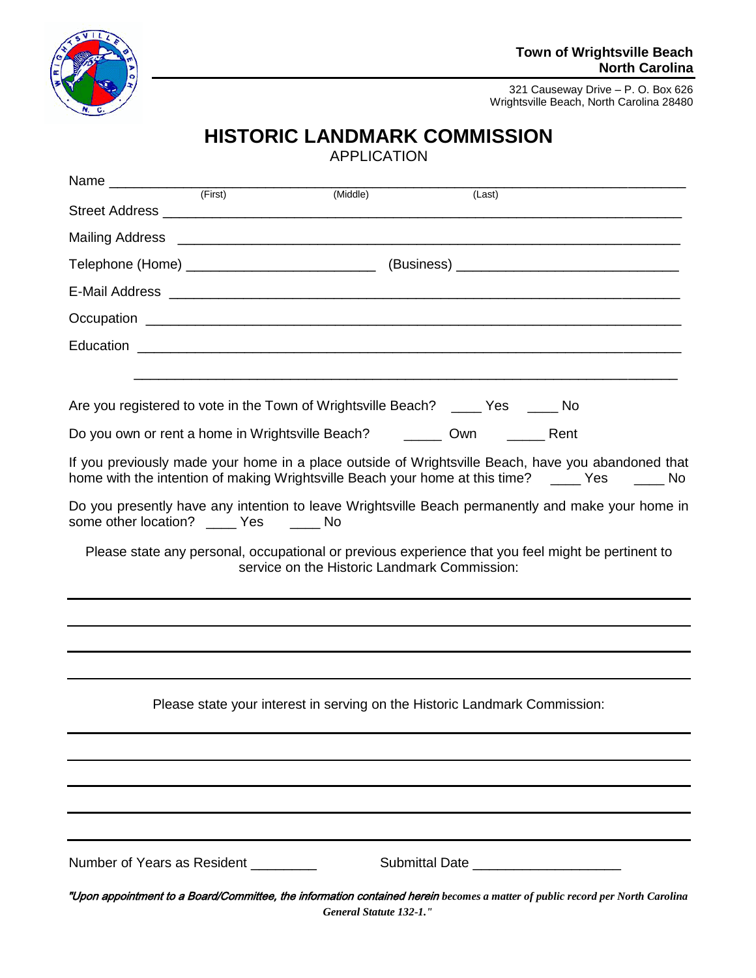

## **HISTORIC LANDMARK COMMISSION**

| Name <del> <u>Carriele (First</u>)</del>                                       |                                                                            | (Middle)                | (Last)                                       |                                                                                                                                                                                                       |
|--------------------------------------------------------------------------------|----------------------------------------------------------------------------|-------------------------|----------------------------------------------|-------------------------------------------------------------------------------------------------------------------------------------------------------------------------------------------------------|
|                                                                                |                                                                            |                         |                                              |                                                                                                                                                                                                       |
|                                                                                |                                                                            |                         |                                              |                                                                                                                                                                                                       |
|                                                                                |                                                                            |                         |                                              |                                                                                                                                                                                                       |
|                                                                                |                                                                            |                         |                                              |                                                                                                                                                                                                       |
|                                                                                |                                                                            |                         |                                              |                                                                                                                                                                                                       |
|                                                                                |                                                                            |                         |                                              |                                                                                                                                                                                                       |
|                                                                                |                                                                            |                         |                                              | <u> 1989 - Johann Harry Communication (b. 1989)</u>                                                                                                                                                   |
| Are you registered to vote in the Town of Wrightsville Beach? ____ Yes ____ No |                                                                            |                         |                                              |                                                                                                                                                                                                       |
| Do you own or rent a home in Wrightsville Beach? _________ Own _________ Rent  |                                                                            |                         |                                              |                                                                                                                                                                                                       |
|                                                                                |                                                                            |                         |                                              | If you previously made your home in a place outside of Wrightsville Beach, have you abandoned that<br>home with the intention of making Wrightsville Beach your home at this time? _____ Yes _____ No |
| some other location? ______ Yes _______ No                                     |                                                                            |                         |                                              | Do you presently have any intention to leave Wrightsville Beach permanently and make your home in                                                                                                     |
|                                                                                |                                                                            |                         | service on the Historic Landmark Commission: | Please state any personal, occupational or previous experience that you feel might be pertinent to                                                                                                    |
|                                                                                |                                                                            |                         |                                              |                                                                                                                                                                                                       |
|                                                                                |                                                                            |                         |                                              |                                                                                                                                                                                                       |
|                                                                                |                                                                            |                         |                                              |                                                                                                                                                                                                       |
|                                                                                | Please state your interest in serving on the Historic Landmark Commission: |                         |                                              |                                                                                                                                                                                                       |
|                                                                                |                                                                            |                         |                                              |                                                                                                                                                                                                       |
|                                                                                |                                                                            |                         |                                              |                                                                                                                                                                                                       |
|                                                                                |                                                                            |                         |                                              |                                                                                                                                                                                                       |
| Number of Years as Resident                                                    |                                                                            |                         |                                              |                                                                                                                                                                                                       |
|                                                                                |                                                                            | General Statute 132-1." |                                              | "Upon appointment to a Board/Committee, the information contained herein becomes a matter of public record per North Carolina                                                                         |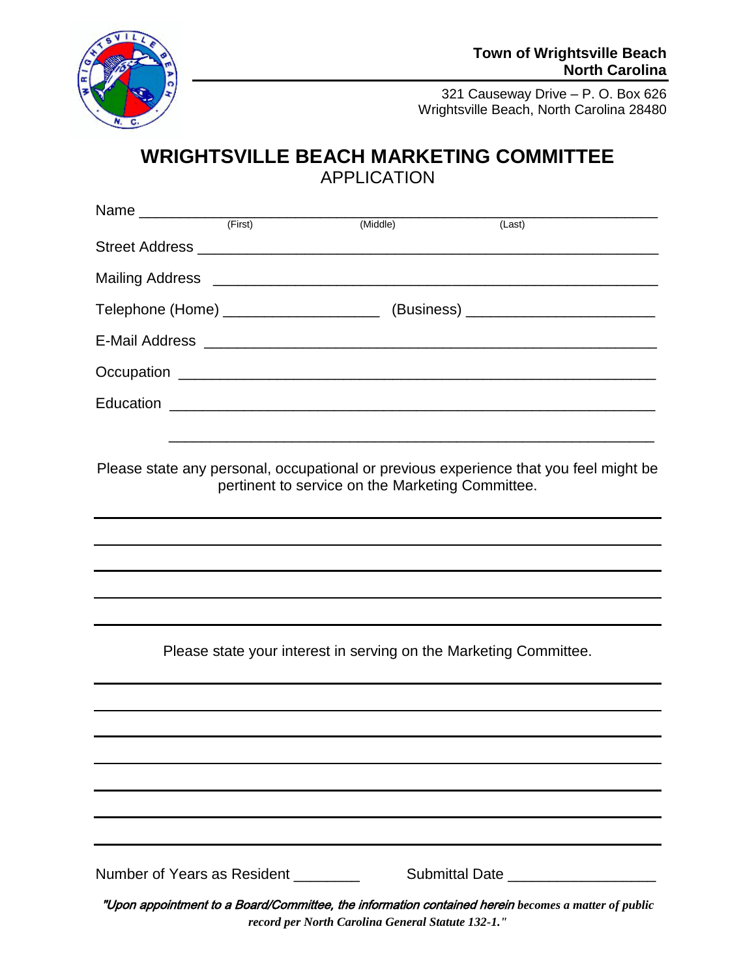

### **WRIGHTSVILLE BEACH MARKETING COMMITTEE** APPLICATION

|                                     | (First) | (Middle)                                          | (Last)                                                                                              |  |
|-------------------------------------|---------|---------------------------------------------------|-----------------------------------------------------------------------------------------------------|--|
|                                     |         |                                                   |                                                                                                     |  |
|                                     |         |                                                   |                                                                                                     |  |
|                                     |         |                                                   | Telephone (Home) ________________________________ (Business) ____________________                   |  |
|                                     |         |                                                   |                                                                                                     |  |
|                                     |         |                                                   |                                                                                                     |  |
|                                     |         |                                                   |                                                                                                     |  |
|                                     |         |                                                   |                                                                                                     |  |
|                                     |         | pertinent to service on the Marketing Committee.  | Please state any personal, occupational or previous experience that you feel might be               |  |
|                                     |         |                                                   |                                                                                                     |  |
|                                     |         |                                                   |                                                                                                     |  |
|                                     |         |                                                   |                                                                                                     |  |
|                                     |         |                                                   |                                                                                                     |  |
|                                     |         |                                                   | Please state your interest in serving on the Marketing Committee.                                   |  |
|                                     |         |                                                   |                                                                                                     |  |
|                                     |         |                                                   |                                                                                                     |  |
|                                     |         |                                                   |                                                                                                     |  |
|                                     |         |                                                   |                                                                                                     |  |
|                                     |         |                                                   |                                                                                                     |  |
| Number of Years as Resident _______ |         |                                                   | Submittal Date ____________________                                                                 |  |
|                                     |         | record per North Carolina General Statute 132-1." | "Upon appointment to a Board/Committee, the information contained herein becomes a matter of public |  |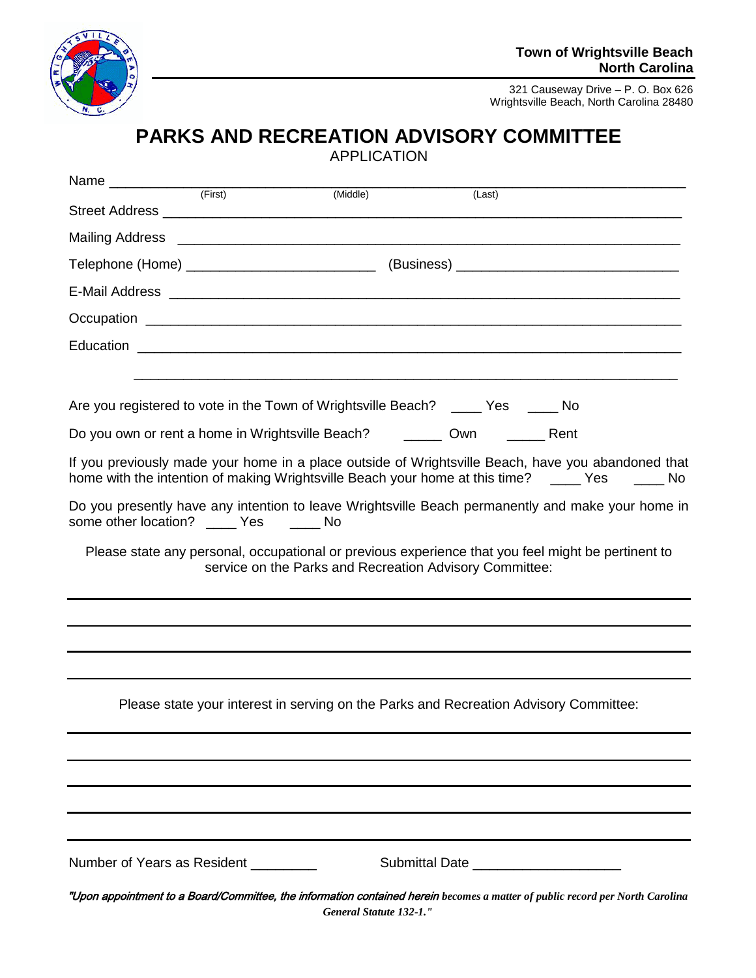

## **PARKS AND RECREATION ADVISORY COMMITTEE**

| Name _____________                       | (First) | (Middle) | (Last)                                                                                |                                                                                                                                                                                                                                     |
|------------------------------------------|---------|----------|---------------------------------------------------------------------------------------|-------------------------------------------------------------------------------------------------------------------------------------------------------------------------------------------------------------------------------------|
|                                          |         |          |                                                                                       |                                                                                                                                                                                                                                     |
| Mailing Address                          |         |          |                                                                                       | <u> 1999 - Johann John Stone, market fan de ferskearre fan de ferskearre fan de ferskearre fan de ferskearre fan </u>                                                                                                               |
|                                          |         |          |                                                                                       |                                                                                                                                                                                                                                     |
|                                          |         |          |                                                                                       | E-Mail Address <b>communications</b> and the extent of the extent of the extent of the extensive of the extent of the extent of the extent of the extent of the extent of the extent of the extent of the extent of the extent of t |
|                                          |         |          |                                                                                       |                                                                                                                                                                                                                                     |
|                                          |         |          |                                                                                       |                                                                                                                                                                                                                                     |
|                                          |         |          |                                                                                       |                                                                                                                                                                                                                                     |
|                                          |         |          | Are you registered to vote in the Town of Wrightsville Beach? ____ Yes _____ No       |                                                                                                                                                                                                                                     |
|                                          |         |          | Do you own or rent a home in Wrightsville Beach? _________ Own __________ Rent        |                                                                                                                                                                                                                                     |
|                                          |         |          |                                                                                       | If you previously made your home in a place outside of Wrightsville Beach, have you abandoned that<br>home with the intention of making Wrightsville Beach your home at this time? _____ Yes _____ No                               |
| some other location? _____ Yes ______ No |         |          |                                                                                       | Do you presently have any intention to leave Wrightsville Beach permanently and make your home in                                                                                                                                   |
|                                          |         |          | service on the Parks and Recreation Advisory Committee:                               | Please state any personal, occupational or previous experience that you feel might be pertinent to                                                                                                                                  |
|                                          |         |          |                                                                                       |                                                                                                                                                                                                                                     |
|                                          |         |          |                                                                                       |                                                                                                                                                                                                                                     |
|                                          |         |          |                                                                                       |                                                                                                                                                                                                                                     |
|                                          |         |          | Please state your interest in serving on the Parks and Recreation Advisory Committee: |                                                                                                                                                                                                                                     |
|                                          |         |          |                                                                                       |                                                                                                                                                                                                                                     |
|                                          |         |          |                                                                                       |                                                                                                                                                                                                                                     |
|                                          |         |          |                                                                                       |                                                                                                                                                                                                                                     |
| Number of Years as Resident              |         |          | Submittal Date _______________________                                                |                                                                                                                                                                                                                                     |
|                                          |         |          | General Statute 132-1."                                                               | "Upon appointment to a Board/Committee, the information contained herein becomes a matter of public record per North Carolina                                                                                                       |